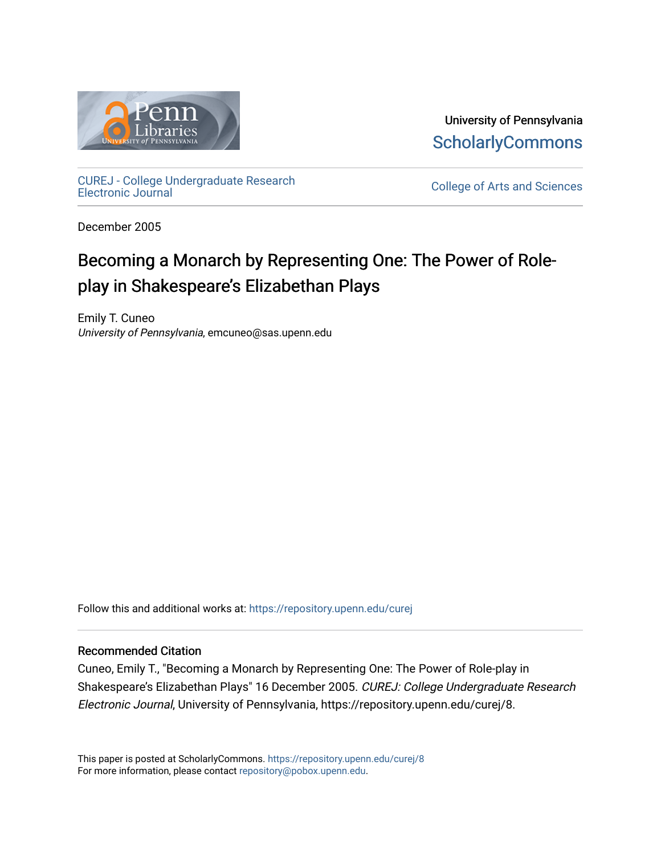

University of Pennsylvania **ScholarlyCommons** 

[CUREJ - College Undergraduate Research](https://repository.upenn.edu/curej) 

College of Arts and Sciences

December 2005

# Becoming a Monarch by Representing One: The Power of Roleplay in Shakespeare's Elizabethan Plays

Emily T. Cuneo University of Pennsylvania, emcuneo@sas.upenn.edu

Follow this and additional works at: [https://repository.upenn.edu/curej](https://repository.upenn.edu/curej?utm_source=repository.upenn.edu%2Fcurej%2F8&utm_medium=PDF&utm_campaign=PDFCoverPages)

#### Recommended Citation

Cuneo, Emily T., "Becoming a Monarch by Representing One: The Power of Role-play in Shakespeare's Elizabethan Plays" 16 December 2005. CUREJ: College Undergraduate Research Electronic Journal, University of Pennsylvania, https://repository.upenn.edu/curej/8.

This paper is posted at ScholarlyCommons.<https://repository.upenn.edu/curej/8> For more information, please contact [repository@pobox.upenn.edu.](mailto:repository@pobox.upenn.edu)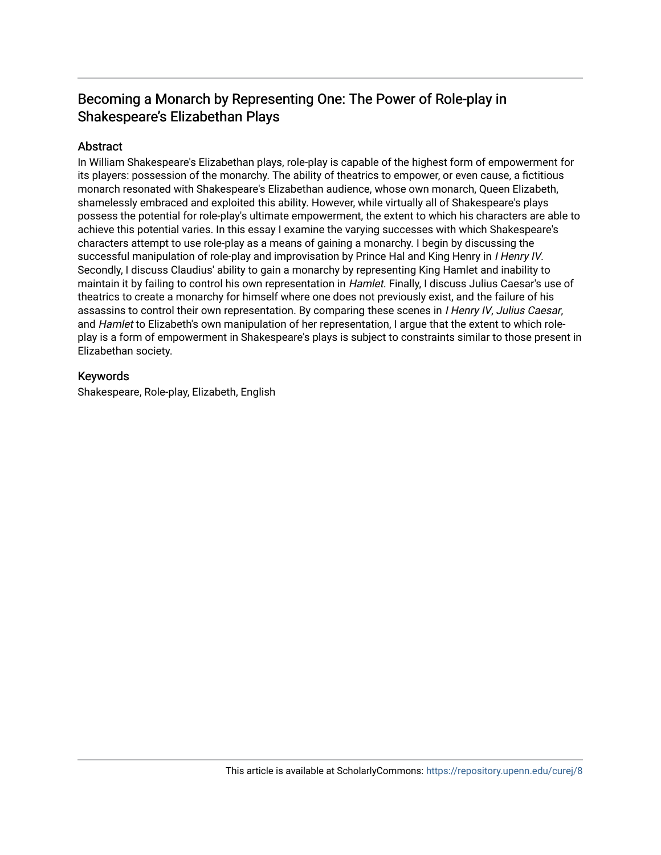# Becoming a Monarch by Representing One: The Power of Role-play in Shakespeare's Elizabethan Plays

## **Abstract**

In William Shakespeare's Elizabethan plays, role-play is capable of the highest form of empowerment for its players: possession of the monarchy. The ability of theatrics to empower, or even cause, a fictitious monarch resonated with Shakespeare's Elizabethan audience, whose own monarch, Queen Elizabeth, shamelessly embraced and exploited this ability. However, while virtually all of Shakespeare's plays possess the potential for role-play's ultimate empowerment, the extent to which his characters are able to achieve this potential varies. In this essay I examine the varying successes with which Shakespeare's characters attempt to use role-play as a means of gaining a monarchy. I begin by discussing the successful manipulation of role-play and improvisation by Prince Hal and King Henry in *I Henry IV*. Secondly, I discuss Claudius' ability to gain a monarchy by representing King Hamlet and inability to maintain it by failing to control his own representation in Hamlet. Finally, I discuss Julius Caesar's use of theatrics to create a monarchy for himself where one does not previously exist, and the failure of his assassins to control their own representation. By comparing these scenes in I Henry IV, Julius Caesar, and Hamlet to Elizabeth's own manipulation of her representation, I arque that the extent to which roleplay is a form of empowerment in Shakespeare's plays is subject to constraints similar to those present in Elizabethan society.

### Keywords

Shakespeare, Role-play, Elizabeth, English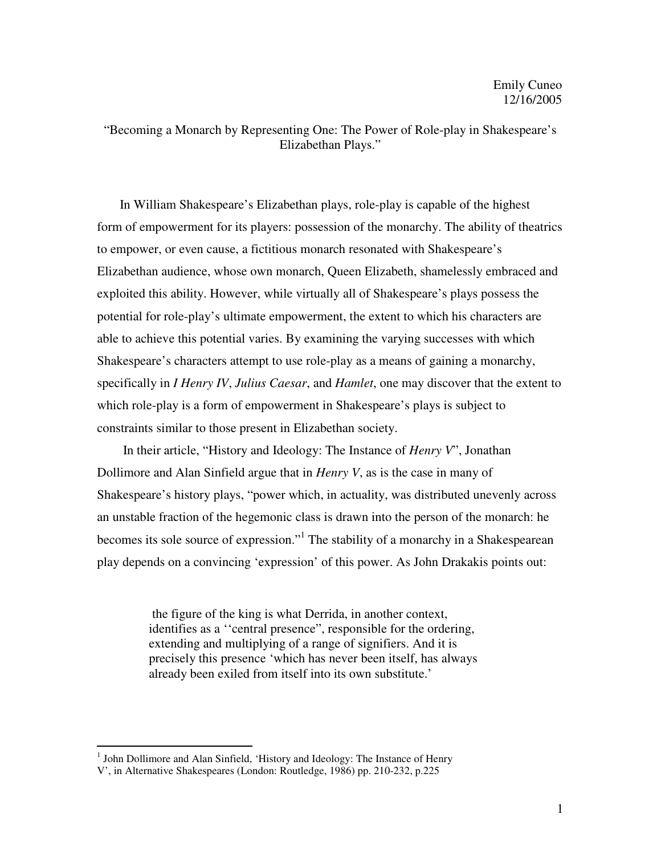"Becoming a Monarch by Representing One: The Power of Role-play in Shakespeare's Elizabethan Plays."

In William Shakespeare's Elizabethan plays, role-play is capable of the highest form of empowerment for its players: possession of the monarchy. The ability of theatrics to empower, or even cause, a fictitious monarch resonated with Shakespeare's Elizabethan audience, whose own monarch, Queen Elizabeth, shamelessly embraced and exploited this ability. However, while virtually all of Shakespeare's plays possess the potential for role-play's ultimate empowerment, the extent to which his characters are able to achieve this potential varies. By examining the varying successes with which Shakespeare's characters attempt to use role-play as a means of gaining a monarchy, specifically in *I Henry IV*, *Julius Caesar*, and *Hamlet*, one may discover that the extent to which role-play is a form of empowerment in Shakespeare's plays is subject to constraints similar to those present in Elizabethan society.

In their article, "History and Ideology: The Instance of *Henry V*", Jonathan Dollimore and Alan Sinfield argue that in *Henry V*, as is the case in many of Shakespeare's history plays, "power which, in actuality, was distributed unevenly across an unstable fraction of the hegemonic class is drawn into the person of the monarch: he becomes its sole source of expression."<sup>1</sup> The stability of a monarchy in a Shakespearean play depends on a convincing 'expression' of this power. As John Drakakis points out:

> the figure of the king is what Derrida, in another context, identifies as a ''central presence", responsible for the ordering, extending and multiplying of a range of signifiers. And it is precisely this presence 'which has never been itself, has always already been exiled from itself into its own substitute.'

<sup>&</sup>lt;sup>1</sup> John Dollimore and Alan Sinfield, 'History and Ideology: The Instance of Henry V', in Alternative Shakespeares (London: Routledge, 1986) pp. 210-232, p.225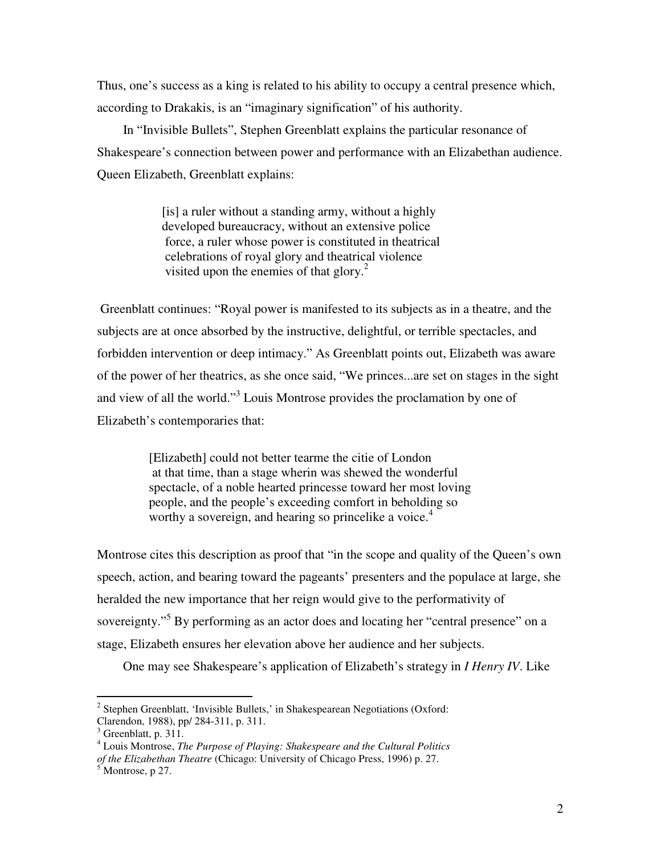Thus, one's success as a king is related to his ability to occupy a central presence which, according to Drakakis, is an "imaginary signification" of his authority.

In "Invisible Bullets", Stephen Greenblatt explains the particular resonance of Shakespeare's connection between power and performance with an Elizabethan audience. Queen Elizabeth, Greenblatt explains:

> [is] a ruler without a standing army, without a highly developed bureaucracy, without an extensive police force, a ruler whose power is constituted in theatrical celebrations of royal glory and theatrical violence visited upon the enemies of that glory. $^{2}$

 Greenblatt continues: "Royal power is manifested to its subjects as in a theatre, and the subjects are at once absorbed by the instructive, delightful, or terrible spectacles, and forbidden intervention or deep intimacy." As Greenblatt points out, Elizabeth was aware of the power of her theatrics, as she once said, "We princes...are set on stages in the sight and view of all the world."<sup>3</sup> Louis Montrose provides the proclamation by one of Elizabeth's contemporaries that:

> [Elizabeth] could not better tearme the citie of London at that time, than a stage wherin was shewed the wonderful spectacle, of a noble hearted princesse toward her most loving people, and the people's exceeding comfort in beholding so worthy a sovereign, and hearing so princelike a voice.<sup>4</sup>

Montrose cites this description as proof that "in the scope and quality of the Queen's own speech, action, and bearing toward the pageants' presenters and the populace at large, she heralded the new importance that her reign would give to the performativity of sovereignty."<sup>5</sup> By performing as an actor does and locating her "central presence" on a stage, Elizabeth ensures her elevation above her audience and her subjects.

One may see Shakespeare's application of Elizabeth's strategy in *I Henry IV*. Like

 $2$  Stephen Greenblatt, 'Invisible Bullets,' in Shakespearean Negotiations (Oxford: Clarendon, 1988), pp/ 284-311, p. 311.

 $3$  Greenblatt, p. 311.

<sup>4</sup> Louis Montrose, *The Purpose of Playing: Shakespeare and the Cultural Politics*

*of the Elizabethan Theatre* (Chicago: University of Chicago Press, 1996) p. 27.

 $<sup>5</sup>$  Montrose, p 27.</sup>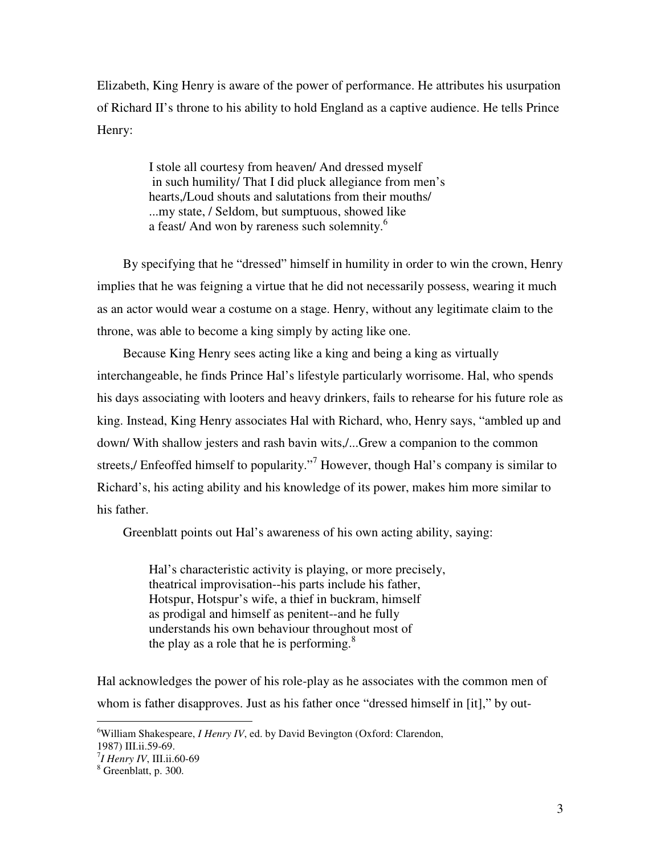Elizabeth, King Henry is aware of the power of performance. He attributes his usurpation of Richard II's throne to his ability to hold England as a captive audience. He tells Prince Henry:

> I stole all courtesy from heaven/ And dressed myself in such humility/ That I did pluck allegiance from men's hearts,/Loud shouts and salutations from their mouths/ ...my state, / Seldom, but sumptuous, showed like a feast/ And won by rareness such solemnity.<sup>6</sup>

By specifying that he "dressed" himself in humility in order to win the crown, Henry implies that he was feigning a virtue that he did not necessarily possess, wearing it much as an actor would wear a costume on a stage. Henry, without any legitimate claim to the throne, was able to become a king simply by acting like one.

Because King Henry sees acting like a king and being a king as virtually interchangeable, he finds Prince Hal's lifestyle particularly worrisome. Hal, who spends his days associating with looters and heavy drinkers, fails to rehearse for his future role as king. Instead, King Henry associates Hal with Richard, who, Henry says, "ambled up and down/ With shallow jesters and rash bavin wits,/...Grew a companion to the common streets,/ Enfeoffed himself to popularity."<sup>7</sup> However, though Hal's company is similar to Richard's, his acting ability and his knowledge of its power, makes him more similar to his father.

Greenblatt points out Hal's awareness of his own acting ability, saying:

Hal's characteristic activity is playing, or more precisely, theatrical improvisation--his parts include his father, Hotspur, Hotspur's wife, a thief in buckram, himself as prodigal and himself as penitent--and he fully understands his own behaviour throughout most of the play as a role that he is performing. $8$ 

Hal acknowledges the power of his role-play as he associates with the common men of whom is father disapproves. Just as his father once "dressed himself in [it]," by out-

<sup>6</sup> William Shakespeare, *I Henry IV*, ed. by David Bevington (Oxford: Clarendon,

<sup>1987)</sup> III.ii.59-69. <sup>7</sup>

 $^7$ *I Henry IV*, III.ii.60-69

<sup>&</sup>lt;sup>8</sup> Greenblatt, p. 300.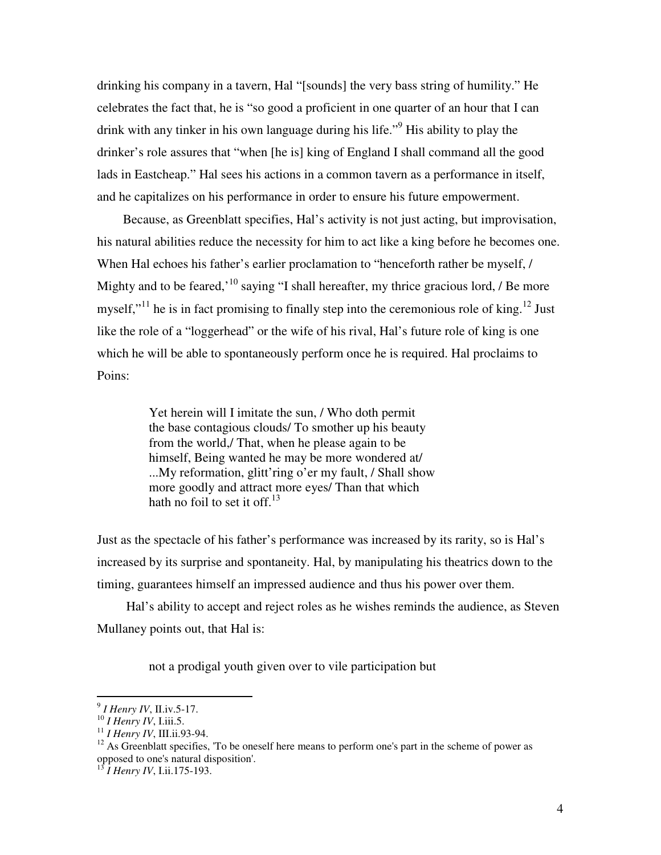drinking his company in a tavern, Hal "[sounds] the very bass string of humility." He celebrates the fact that, he is "so good a proficient in one quarter of an hour that I can drink with any tinker in his own language during his life."<sup>9</sup> His ability to play the drinker's role assures that "when [he is] king of England I shall command all the good lads in Eastcheap." Hal sees his actions in a common tavern as a performance in itself, and he capitalizes on his performance in order to ensure his future empowerment.

Because, as Greenblatt specifies, Hal's activity is not just acting, but improvisation, his natural abilities reduce the necessity for him to act like a king before he becomes one. When Hal echoes his father's earlier proclamation to "henceforth rather be myself, / Mighty and to be feared,<sup>'10</sup> saying "I shall hereafter, my thrice gracious lord,  $\ell$  Be more myself,"<sup>11</sup> he is in fact promising to finally step into the ceremonious role of king.<sup>12</sup> Just like the role of a "loggerhead" or the wife of his rival, Hal's future role of king is one which he will be able to spontaneously perform once he is required. Hal proclaims to Poins:

> Yet herein will I imitate the sun, / Who doth permit the base contagious clouds/ To smother up his beauty from the world,/ That, when he please again to be himself, Being wanted he may be more wondered at/ ...My reformation, glitt'ring o'er my fault, / Shall show more goodly and attract more eyes/ Than that which hath no foil to set it off. $13$

Just as the spectacle of his father's performance was increased by its rarity, so is Hal's increased by its surprise and spontaneity. Hal, by manipulating his theatrics down to the timing, guarantees himself an impressed audience and thus his power over them.

 Hal's ability to accept and reject roles as he wishes reminds the audience, as Steven Mullaney points out, that Hal is:

not a prodigal youth given over to vile participation but

<sup>&</sup>lt;sup>9</sup> *I Henry IV*, II.iv.5-17.<br><sup>10</sup> *I Henry IV*, I.iii.5. 11<br><sup>11</sup> *I Henry IV*, III.ii.93-94. <sup>12</sup> As Greenblatt specifies, 'To be oneself here means to perform one's part in the scheme of power as opposed to one's natural disposition'.

<sup>13</sup> *I Henry IV*, I.ii.175-193.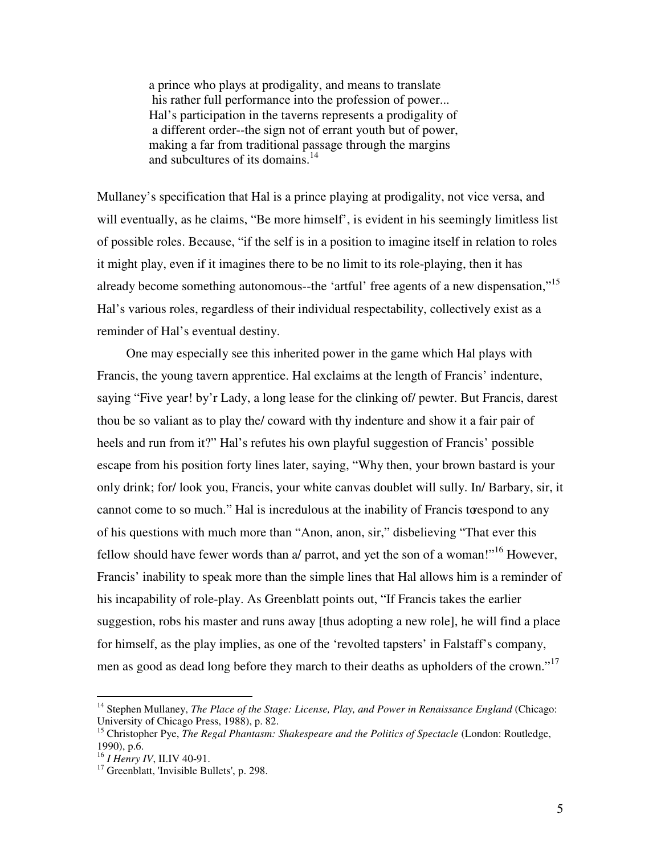a prince who plays at prodigality, and means to translate his rather full performance into the profession of power... Hal's participation in the taverns represents a prodigality of a different order--the sign not of errant youth but of power, making a far from traditional passage through the margins and subcultures of its domains.<sup>14</sup>

Mullaney's specification that Hal is a prince playing at prodigality, not vice versa, and will eventually, as he claims, "Be more himself', is evident in his seemingly limitless list of possible roles. Because, "if the self is in a position to imagine itself in relation to roles it might play, even if it imagines there to be no limit to its role-playing, then it has already become something autonomous--the 'artful' free agents of a new dispensation,"<sup>15</sup> Hal's various roles, regardless of their individual respectability, collectively exist as a reminder of Hal's eventual destiny.

 One may especially see this inherited power in the game which Hal plays with Francis, the young tavern apprentice. Hal exclaims at the length of Francis' indenture, saying "Five year! by'r Lady, a long lease for the clinking of/ pewter. But Francis, darest thou be so valiant as to play the/ coward with thy indenture and show it a fair pair of heels and run from it?" Hal's refutes his own playful suggestion of Francis' possible escape from his position forty lines later, saying, "Why then, your brown bastard is your only drink; for/ look you, Francis, your white canvas doublet will sully. In/ Barbary, sir, it cannot come to so much." Hal is incredulous at the inability of Francis to respond to any of his questions with much more than "Anon, anon, sir," disbelieving "That ever this fellow should have fewer words than a/ parrot, and yet the son of a woman!"<sup>16</sup> However, Francis' inability to speak more than the simple lines that Hal allows him is a reminder of his incapability of role-play. As Greenblatt points out, "If Francis takes the earlier suggestion, robs his master and runs away [thus adopting a new role], he will find a place for himself, as the play implies, as one of the 'revolted tapsters' in Falstaff's company, men as good as dead long before they march to their deaths as upholders of the crown."<sup>17</sup>

<sup>&</sup>lt;sup>14</sup> Stephen Mullaney, *The Place of the Stage: License, Play, and Power in Renaissance England* (Chicago: University of Chicago Press, 1988), p. 82.

<sup>&</sup>lt;sup>15</sup> Christopher Pye, *The Regal Phantasm: Shakespeare and the Politics of Spectacle* (London: Routledge, 1990), p.6.<br><sup>16</sup> *I Henry IV*, II.IV 40-91.

<sup>&</sup>lt;sup>17</sup> Greenblatt, 'Invisible Bullets', p. 298.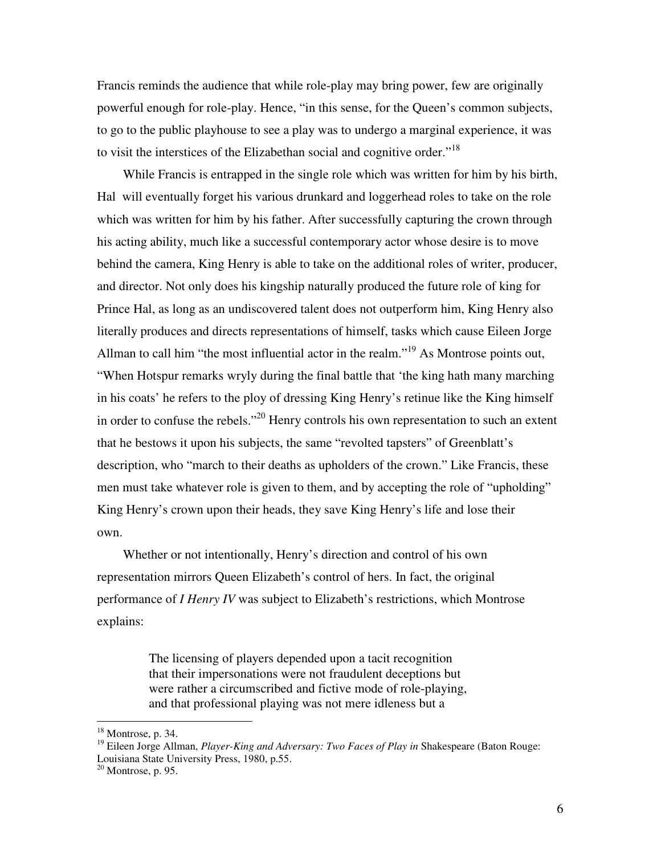Francis reminds the audience that while role-play may bring power, few are originally powerful enough for role-play. Hence, "in this sense, for the Queen's common subjects, to go to the public playhouse to see a play was to undergo a marginal experience, it was to visit the interstices of the Elizabethan social and cognitive order."<sup>18</sup>

While Francis is entrapped in the single role which was written for him by his birth, Hal will eventually forget his various drunkard and loggerhead roles to take on the role which was written for him by his father. After successfully capturing the crown through his acting ability, much like a successful contemporary actor whose desire is to move behind the camera, King Henry is able to take on the additional roles of writer, producer, and director. Not only does his kingship naturally produced the future role of king for Prince Hal, as long as an undiscovered talent does not outperform him, King Henry also literally produces and directs representations of himself, tasks which cause Eileen Jorge Allman to call him "the most influential actor in the realm."<sup>19</sup> As Montrose points out, "When Hotspur remarks wryly during the final battle that 'the king hath many marching in his coats' he refers to the ploy of dressing King Henry's retinue like the King himself in order to confuse the rebels."<sup>20</sup> Henry controls his own representation to such an extent that he bestows it upon his subjects, the same "revolted tapsters" of Greenblatt's description, who "march to their deaths as upholders of the crown." Like Francis, these men must take whatever role is given to them, and by accepting the role of "upholding" King Henry's crown upon their heads, they save King Henry's life and lose their own.

Whether or not intentionally, Henry's direction and control of his own representation mirrors Queen Elizabeth's control of hers. In fact, the original performance of *I Henry IV* was subject to Elizabeth's restrictions, which Montrose explains:

> The licensing of players depended upon a tacit recognition that their impersonations were not fraudulent deceptions but were rather a circumscribed and fictive mode of role-playing, and that professional playing was not mere idleness but a

 $18$  Montrose, p. 34.

<sup>&</sup>lt;sup>19</sup> Eileen Jorge Allman, *Player-King and Adversary: Two Faces of Play in* Shakespeare (Baton Rouge: Louisiana State University Press, 1980, p.55.

 $20$  Montrose, p. 95.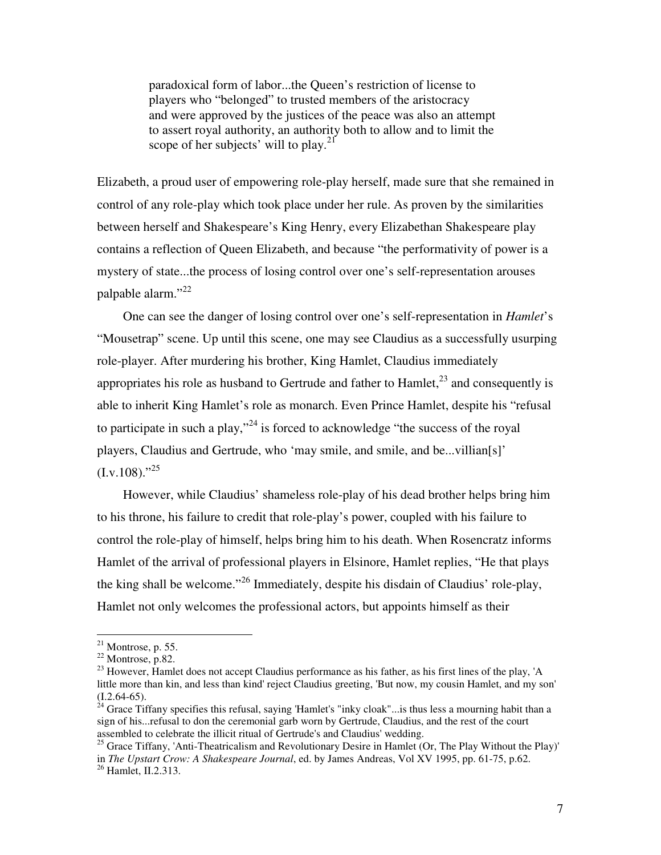paradoxical form of labor...the Queen's restriction of license to players who "belonged" to trusted members of the aristocracy and were approved by the justices of the peace was also an attempt to assert royal authority, an authority both to allow and to limit the scope of her subjects' will to play. $^{21}$ 

Elizabeth, a proud user of empowering role-play herself, made sure that she remained in control of any role-play which took place under her rule. As proven by the similarities between herself and Shakespeare's King Henry, every Elizabethan Shakespeare play contains a reflection of Queen Elizabeth, and because "the performativity of power is a mystery of state...the process of losing control over one's self-representation arouses palpable alarm." 22

One can see the danger of losing control over one's self-representation in *Hamlet*'s "Mousetrap" scene. Up until this scene, one may see Claudius as a successfully usurping role-player. After murdering his brother, King Hamlet, Claudius immediately appropriates his role as husband to Gertrude and father to  $Hamlet$ ,  $23$  and consequently is able to inherit King Hamlet's role as monarch. Even Prince Hamlet, despite his "refusal to participate in such a play,"<sup>24</sup> is forced to acknowledge "the success of the royal players, Claudius and Gertrude, who 'may smile, and smile, and be...villian[s]'  $(Lv.108)$ ."<sup>25</sup>

However, while Claudius' shameless role-play of his dead brother helps bring him to his throne, his failure to credit that role-play's power, coupled with his failure to control the role-play of himself, helps bring him to his death. When Rosencratz informs Hamlet of the arrival of professional players in Elsinore, Hamlet replies, "He that plays the king shall be welcome."<sup>26</sup> Immediately, despite his disdain of Claudius' role-play, Hamlet not only welcomes the professional actors, but appoints himself as their

 $21$  Montrose, p. 55.

 $22$  Montrose, p.82.

<sup>&</sup>lt;sup>23</sup> However, Hamlet does not accept Claudius performance as his father, as his first lines of the play, 'A little more than kin, and less than kind' reject Claudius greeting, 'But now, my cousin Hamlet, and my son'  $(1.2.64-65)$ .<br><sup>24</sup> Grace Tiffany specifies this refusal, saying 'Hamlet's "inky cloak"...is thus less a mourning habit than a

sign of his...refusal to don the ceremonial garb worn by Gertrude, Claudius, and the rest of the court assembled to celebrate the illicit ritual of Gertrude's and Claudius' wedding.

<sup>&</sup>lt;sup>25</sup> Grace Tiffany, 'Anti-Theatricalism and Revolutionary Desire in Hamlet (Or, The Play Without the Play)' in *The Upstart Crow: A Shakespeare Journal*, ed. by James Andreas, Vol XV 1995, pp. 61-75, p.62. <sup>26</sup> Hamlet, II.2.313.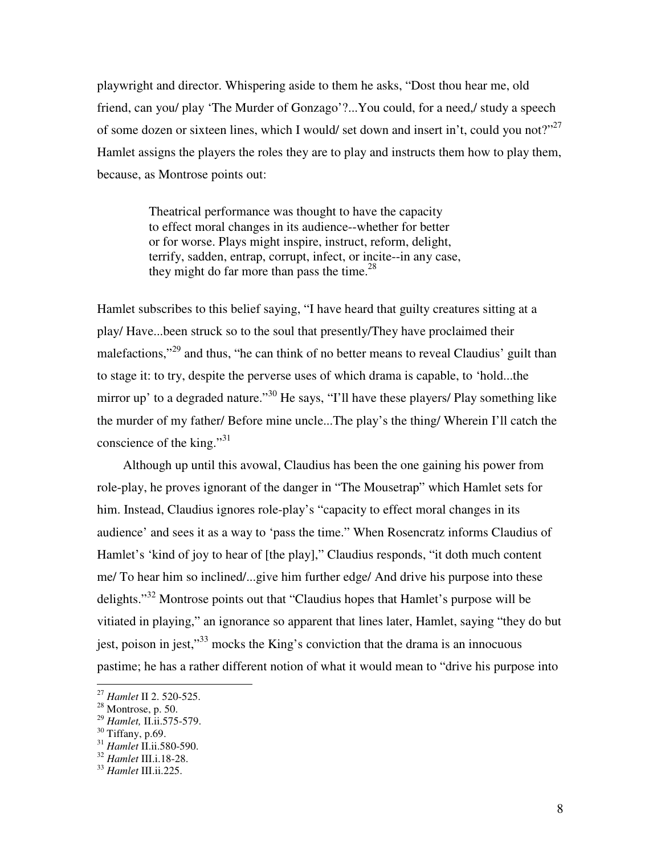playwright and director. Whispering aside to them he asks, "Dost thou hear me, old friend, can you/ play 'The Murder of Gonzago'?...You could, for a need,/ study a speech of some dozen or sixteen lines, which I would/ set down and insert in't, could you not?"<sup>27</sup> Hamlet assigns the players the roles they are to play and instructs them how to play them, because, as Montrose points out:

> Theatrical performance was thought to have the capacity to effect moral changes in its audience--whether for better or for worse. Plays might inspire, instruct, reform, delight, terrify, sadden, entrap, corrupt, infect, or incite--in any case, they might do far more than pass the time.<sup>28</sup>

Hamlet subscribes to this belief saying, "I have heard that guilty creatures sitting at a play/ Have...been struck so to the soul that presently/They have proclaimed their malefactions,"<sup>29</sup> and thus, "he can think of no better means to reveal Claudius' guilt than to stage it: to try, despite the perverse uses of which drama is capable, to 'hold...the mirror up' to a degraded nature."<sup>30</sup> He says, "I'll have these players/ Play something like the murder of my father/ Before mine uncle...The play's the thing/ Wherein I'll catch the conscience of the king."<sup>31</sup>

Although up until this avowal, Claudius has been the one gaining his power from role-play, he proves ignorant of the danger in "The Mousetrap" which Hamlet sets for him. Instead, Claudius ignores role-play's "capacity to effect moral changes in its audience' and sees it as a way to 'pass the time." When Rosencratz informs Claudius of Hamlet's 'kind of joy to hear of [the play]," Claudius responds, "it doth much content me/ To hear him so inclined/...give him further edge/ And drive his purpose into these delights."<sup>32</sup> Montrose points out that "Claudius hopes that Hamlet's purpose will be vitiated in playing," an ignorance so apparent that lines later, Hamlet, saying "they do but jest, poison in jest,"<sup>33</sup> mocks the King's conviction that the drama is an innocuous pastime; he has a rather different notion of what it would mean to "drive his purpose into

<sup>27</sup> *Hamlet* II 2. 520-525. 28 Montrose, p. 50.

<sup>&</sup>lt;sup>29</sup> *Hamlet*, II.ii.575-579.<br><sup>30</sup> Tiffany, p.69.<br><sup>31</sup> *Hamlet* II.ii.580-590.

<sup>31</sup> *Hamlet* II.ii.580-590. <sup>32</sup> *Hamlet* III.i.18-28. <sup>33</sup> *Hamlet* III.ii.225.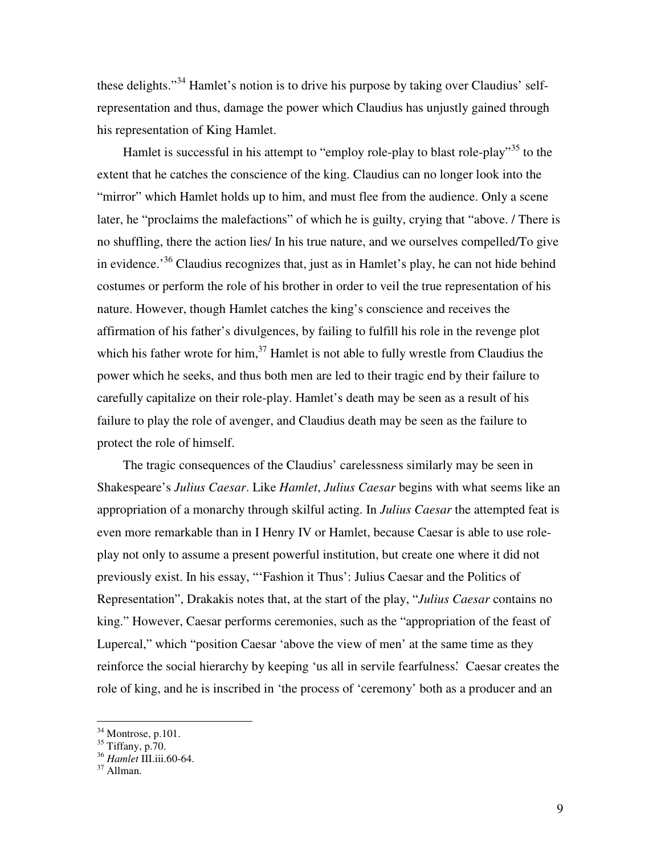these delights."<sup>34</sup> Hamlet's notion is to drive his purpose by taking over Claudius' selfrepresentation and thus, damage the power which Claudius has unjustly gained through his representation of King Hamlet.

Hamlet is successful in his attempt to "employ role-play to blast role-play"<sup>35</sup> to the extent that he catches the conscience of the king. Claudius can no longer look into the "mirror" which Hamlet holds up to him, and must flee from the audience. Only a scene later, he "proclaims the malefactions" of which he is guilty, crying that "above. / There is no shuffling, there the action lies/ In his true nature, and we ourselves compelled/To give in evidence.<sup>36</sup> Claudius recognizes that, just as in Hamlet's play, he can not hide behind costumes or perform the role of his brother in order to veil the true representation of his nature. However, though Hamlet catches the king's conscience and receives the affirmation of his father's divulgences, by failing to fulfill his role in the revenge plot which his father wrote for him, $^{37}$  Hamlet is not able to fully wrestle from Claudius the power which he seeks, and thus both men are led to their tragic end by their failure to carefully capitalize on their role-play. Hamlet's death may be seen as a result of his failure to play the role of avenger, and Claudius death may be seen as the failure to protect the role of himself.

The tragic consequences of the Claudius' carelessness similarly may be seen in Shakespeare's *Julius Caesar*. Like *Hamlet*, *Julius Caesar* begins with what seems like an appropriation of a monarchy through skilful acting. In *Julius Caesar* the attempted feat is even more remarkable than in I Henry IV or Hamlet, because Caesar is able to use roleplay not only to assume a present powerful institution, but create one where it did not previously exist. In his essay, "'Fashion it Thus': Julius Caesar and the Politics of Representation", Drakakis notes that, at the start of the play, "*Julius Caesar* contains no king." However, Caesar performs ceremonies, such as the "appropriation of the feast of Lupercal," which "position Caesar 'above the view of men' at the same time as they reinforce the social hierarchy by keeping 'us all in servile fearfulness.' Caesar creates the role of king, and he is inscribed in 'the process of 'ceremony' both as a producer and an

 $34$  Montrose, p.101.

 $35$  Tiffany, p.70.

<sup>&</sup>lt;sup>36</sup> *Hamlet* III.iii.60-64.<br><sup>37</sup> Allman.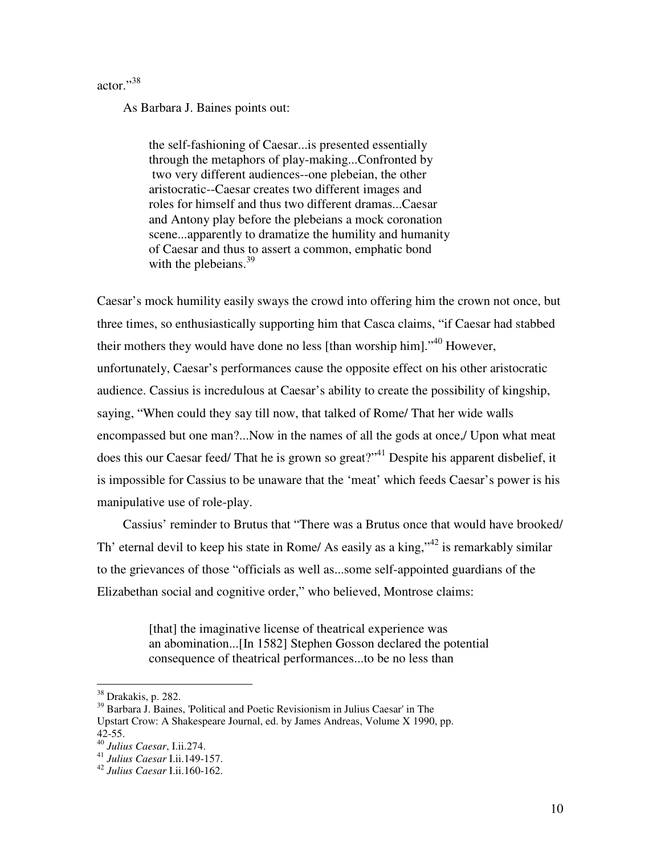actor."<sup>38</sup>

As Barbara J. Baines points out:

the self-fashioning of Caesar...is presented essentially through the metaphors of play-making...Confronted by two very different audiences--one plebeian, the other aristocratic--Caesar creates two different images and roles for himself and thus two different dramas...Caesar and Antony play before the plebeians a mock coronation scene...apparently to dramatize the humility and humanity of Caesar and thus to assert a common, emphatic bond with the plebeians. $39$ 

Caesar's mock humility easily sways the crowd into offering him the crown not once, but three times, so enthusiastically supporting him that Casca claims, "if Caesar had stabbed their mothers they would have done no less [than worship him]."<sup>40</sup> However, unfortunately, Caesar's performances cause the opposite effect on his other aristocratic audience. Cassius is incredulous at Caesar's ability to create the possibility of kingship, saying, "When could they say till now, that talked of Rome/ That her wide walls encompassed but one man?...Now in the names of all the gods at once,/ Upon what meat does this our Caesar feed/ That he is grown so great?"<sup>41</sup> Despite his apparent disbelief, it is impossible for Cassius to be unaware that the 'meat' which feeds Caesar's power is his manipulative use of role-play.

Cassius' reminder to Brutus that "There was a Brutus once that would have brooked/ Th' eternal devil to keep his state in Rome/ As easily as a king," $42$  is remarkably similar to the grievances of those "officials as well as...some self-appointed guardians of the Elizabethan social and cognitive order," who believed, Montrose claims:

> [that] the imaginative license of theatrical experience was an abomination...[In 1582] Stephen Gosson declared the potential consequence of theatrical performances...to be no less than

<sup>38</sup> Drakakis, p. 282.

<sup>39</sup> Barbara J. Baines, 'Political and Poetic Revisionism in Julius Caesar' in The Upstart Crow: A Shakespeare Journal, ed. by James Andreas, Volume X 1990, pp. 42-55. <sup>40</sup> *Julius Caesar*, I.ii.274. <sup>41</sup> *Julius Caesar* I.ii.149-157. <sup>42</sup> *Julius Caesar* I.ii.160-162.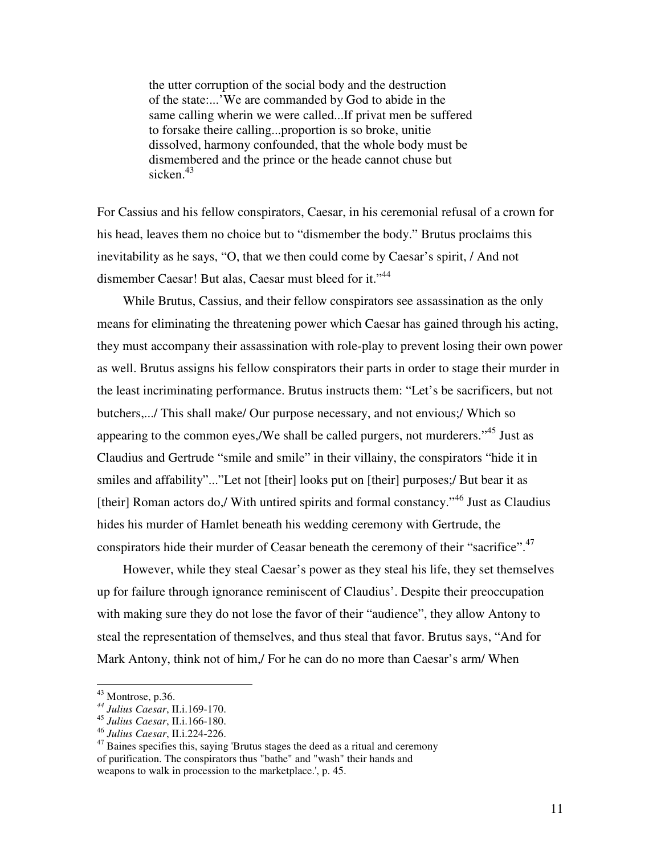the utter corruption of the social body and the destruction of the state:...'We are commanded by God to abide in the same calling wherin we were called...If privat men be suffered to forsake theire calling...proportion is so broke, unitie dissolved, harmony confounded, that the whole body must be dismembered and the prince or the heade cannot chuse but sicken.<sup>43</sup>

For Cassius and his fellow conspirators, Caesar, in his ceremonial refusal of a crown for his head, leaves them no choice but to "dismember the body." Brutus proclaims this inevitability as he says, "O, that we then could come by Caesar's spirit, / And not dismember Caesar! But alas, Caesar must bleed for it."<sup>44</sup>

While Brutus, Cassius, and their fellow conspirators see assassination as the only means for eliminating the threatening power which Caesar has gained through his acting, they must accompany their assassination with role-play to prevent losing their own power as well. Brutus assigns his fellow conspirators their parts in order to stage their murder in the least incriminating performance. Brutus instructs them: "Let's be sacrificers, but not butchers,.../ This shall make/ Our purpose necessary, and not envious;/ Which so appearing to the common eyes,/We shall be called purgers, not murderers."<sup>45</sup> Just as Claudius and Gertrude "smile and smile" in their villainy, the conspirators "hide it in smiles and affability"..."Let not [their] looks put on [their] purposes;/ But bear it as [their] Roman actors do,/ With untired spirits and formal constancy."<sup>46</sup> Just as Claudius hides his murder of Hamlet beneath his wedding ceremony with Gertrude, the conspirators hide their murder of Ceasar beneath the ceremony of their "sacrifice".<sup>47</sup>

However, while they steal Caesar's power as they steal his life, they set themselves up for failure through ignorance reminiscent of Claudius'. Despite their preoccupation with making sure they do not lose the favor of their "audience", they allow Antony to steal the representation of themselves, and thus steal that favor. Brutus says, "And for Mark Antony, think not of him,/ For he can do no more than Caesar's arm/ When

<sup>43</sup> Montrose, p.36.

*<sup>44</sup> Julius Caesar*, II.i.169-170.

<sup>45</sup> *Julius Caesar*, II.i.166-180.

<sup>&</sup>lt;sup>46</sup> *Julius Caesar*, II.i.224-226.<br><sup>47</sup> Baines specifies this, saying 'Brutus stages the deed as a ritual and ceremony of purification. The conspirators thus "bathe" and "wash" their hands and weapons to walk in procession to the marketplace.', p. 45.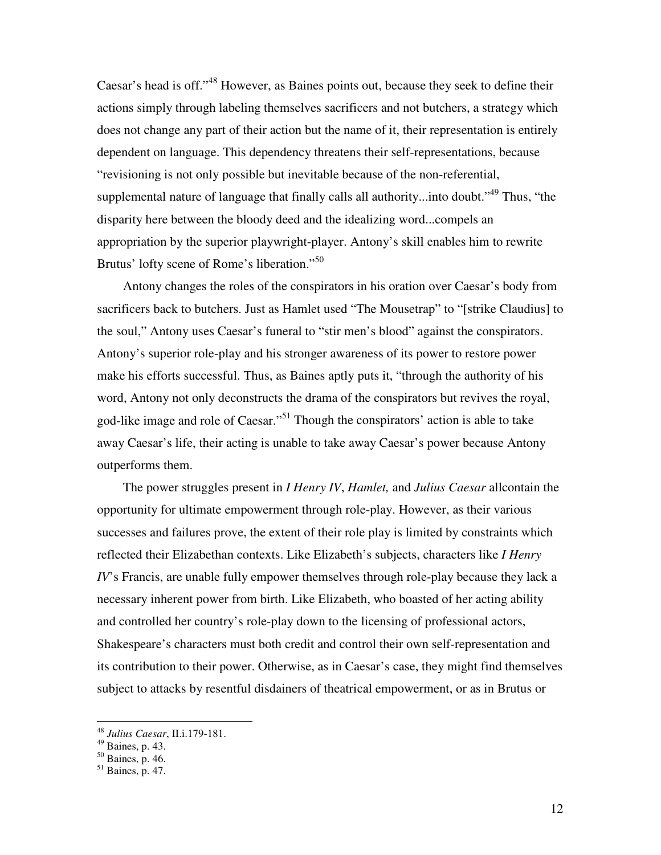Caesar's head is off."<sup>48</sup> However, as Baines points out, because they seek to define their actions simply through labeling themselves sacrificers and not butchers, a strategy which does not change any part of their action but the name of it, their representation is entirely dependent on language. This dependency threatens their self-representations, because "revisioning is not only possible but inevitable because of the non-referential, supplemental nature of language that finally calls all authority...into doubt."<sup>49</sup> Thus, "the disparity here between the bloody deed and the idealizing word...compels an appropriation by the superior playwright-player. Antony's skill enables him to rewrite Brutus' lofty scene of Rome's liberation."<sup>50</sup>

Antony changes the roles of the conspirators in his oration over Caesar's body from sacrificers back to butchers. Just as Hamlet used "The Mousetrap" to "[strike Claudius] to the soul," Antony uses Caesar's funeral to "stir men's blood" against the conspirators. Antony's superior role-play and his stronger awareness of its power to restore power make his efforts successful. Thus, as Baines aptly puts it, "through the authority of his word, Antony not only deconstructs the drama of the conspirators but revives the royal, god-like image and role of Caesar."<sup>51</sup> Though the conspirators' action is able to take away Caesar's life, their acting is unable to take away Caesar's power because Antony outperforms them.

The power struggles present in *I Henry IV*, *Hamlet*, and *Julius Caesar* all contain the opportunity for ultimate empowerment through role-play. However, as their various successes and failures prove, the extent of their role play is limited by constraints which reflected their Elizabethan contexts. Like Elizabeth's subjects, characters like *I Henry IV*'s Francis, are unable fully empower themselves through role-play because they lack a necessary inherent power from birth. Like Elizabeth, who boasted of her acting ability and controlled her country's role-play down to the licensing of professional actors, Shakespeare's characters must both credit and control their own self-representation and its contribution to their power. Otherwise, as in Caesar's case, they might find themselves subject to attacks by resentful disdainers of theatrical empowerment, or as in Brutus or

<sup>48</sup> *Julius Caesar*, II.i.179-181.

 $^{49}$  Baines, p. 43.

 $50$  Baines, p. 46.

<sup>51</sup> Baines, p. 47.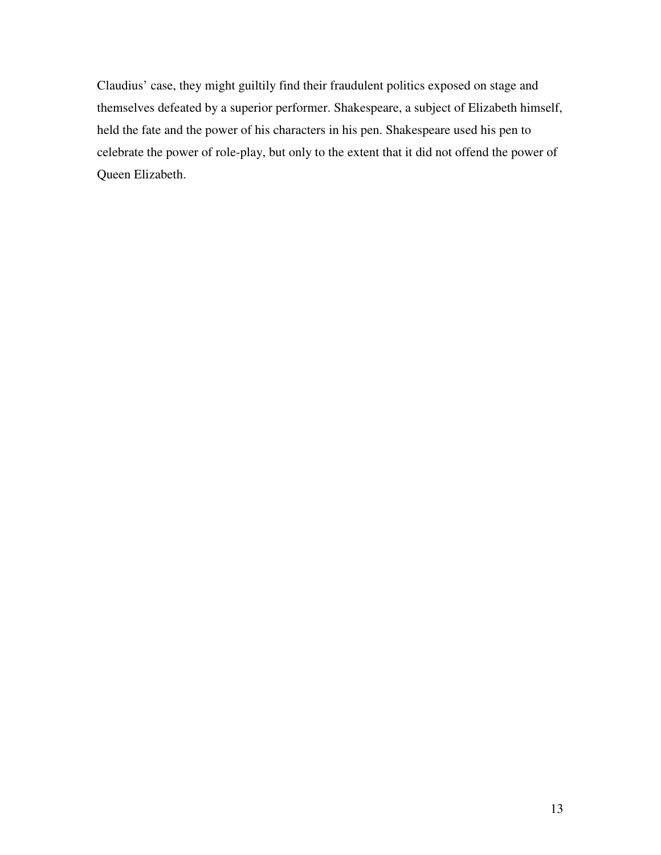Claudius' case, they might guiltily find their fraudulent politics exposed on stage and themselves defeated by a superior performer. Shakespeare, a subject of Elizabeth himself, held the fate and the power of his characters in his pen. Shakespeare used his pen to celebrate the power of role-play, but only to the extent that it did not offend the power of Queen Elizabeth.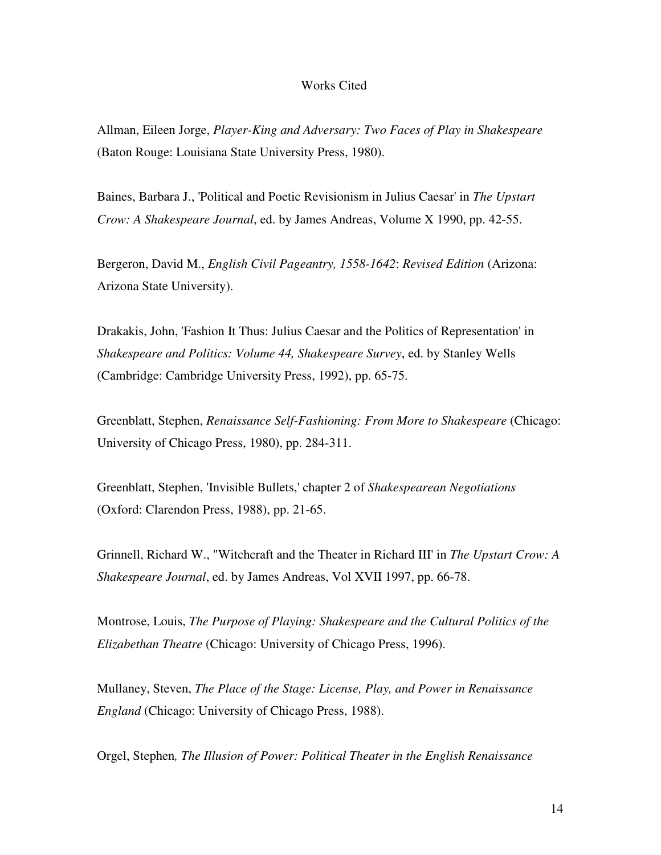#### Works Cited

Allman, Eileen Jorge, *Player-King and Adversary: Two Faces of Play in Shakespeare* (Baton Rouge: Louisiana State University Press, 1980).

Baines, Barbara J., 'Political and Poetic Revisionism in Julius Caesar' in *The Upstart Crow: A Shakespeare Journal*, ed. by James Andreas, Volume X 1990, pp. 42-55.

Bergeron, David M., *English Civil Pageantry, 1558-1642*: *Revised Edition* (Arizona: Arizona State University).

Drakakis, John, 'Fashion It Thus: Julius Caesar and the Politics of Representation' in *Shakespeare and Politics: Volume 44, Shakespeare Survey*, ed. by Stanley Wells (Cambridge: Cambridge University Press, 1992), pp. 65-75.

Greenblatt, Stephen, *Renaissance Self-Fashioning: From More to Shakespeare* (Chicago: University of Chicago Press, 1980), pp. 284-311.

Greenblatt, Stephen, 'Invisible Bullets,' chapter 2 of *Shakespearean Negotiations* (Oxford: Clarendon Press, 1988), pp. 21-65.

Grinnell, Richard W., "Witchcraft and the Theater in Richard III' in *The Upstart Crow: A Shakespeare Journal*, ed. by James Andreas, Vol XVII 1997, pp. 66-78.

Montrose, Louis, *The Purpose of Playing: Shakespeare and the Cultural Politics of the Elizabethan Theatre* (Chicago: University of Chicago Press, 1996).

Mullaney, Steven, *The Place of the Stage: License, Play, and Power in Renaissance England* (Chicago: University of Chicago Press, 1988).

Orgel, Stephen*, The Illusion of Power: Political Theater in the English Renaissance*